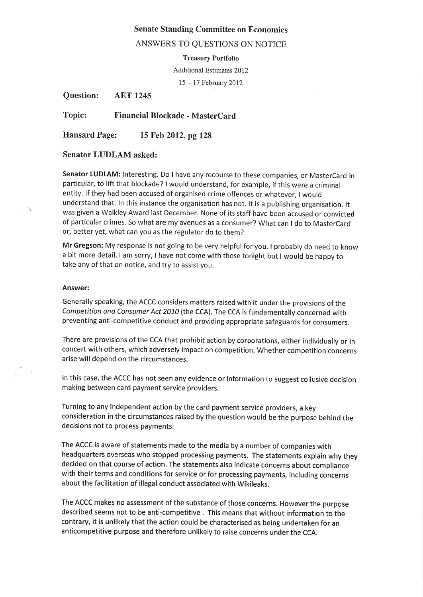# Senate Standing Committee on Economics

# ANSWERS TO QUESTIONS ON NOTICE

Treasury Portfolio

Additional Estimares 2012

<sup>15</sup>- 17 February 2012

Question: AET 1245

Topic: Financial Blockade - MasterCard

Hansard Page: 15 Feb 2012, pg 128

# Senator LUDLAM asked:

Senator LUDLAM: Interesting. Do I have any recourse to these companies, or MasterCard in particular, to lift that blockade? I would understand, for example, if this were a criminal entity, lf they had been accused of organised crime offences or whatever, I would understand that. In this instance the organisation has not. lt is a publishing organisation. lt was given a Walkley Award last December. None of its staff have been accused or convicted of particular crimes. So what are my avenues as a consumer? What can I do to MasterCard or, better yet, what can you as the regulator do to them?

Mr Gregson: My response is not going to be very helpful for you. I probably do need to know a bit more detail. I am sorry, I have not come with those tonight but I would be happy to take any of that on notice, and try to assist you.

#### Answer:

Generally speaking, the ACCC considers matters raised with it underthe provisions of the Competition and Consumer Act 2010 (the CCA). The CCA is fundamentally concerned with preventing anti-competitive conduct and providing appropriate safeguards for consumers.

There are provisions of the CCA that prohibit action by corporations, either individually or in concert with others, which adversely impact on competition. Whether competition concerns arise will depend on the circumstances.

In this case, the ACCC has not seen any evidence or information to suggest collusive decision making between card payment service providers.

Turning to any independent action by the card payment service providers, a key consideration in the circumstances raised by the question would be the purpose behind the decisions not to process payments.

The ACCC is aware of statements made to the media by a number of companies with headquarters overseas who stopped processing payments. The statements explain why they decided on that course of action. The statements also indicate concerns about compliance with their terms and conditions for service or for processing payments, including concerns about the facilitation of illegal conduct associated with Wikileaks.

The ACCC makes no assessment of the substance of those concerns. However the purpose described seems not to be anti-competitive . This means that without information to the contrary, it is unlikely that the action could be characterised as being undertaken for an anticompetitive purpose and therefore unlikely to raise concerns under the CCA.